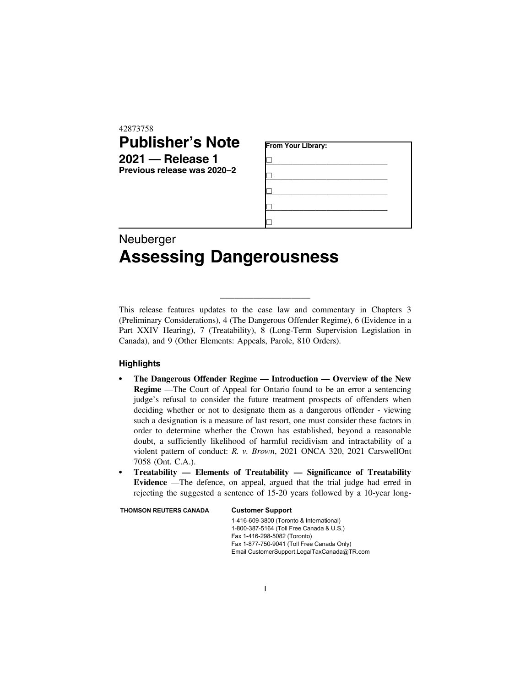42873758

## **Publisher's Note 2021 — Release 1**

| ----- | - - - - - - - - - - -       |
|-------|-----------------------------|
|       | Previous release was 2020–2 |

| From Your Library: |  |  |  |  |  |
|--------------------|--|--|--|--|--|
|                    |  |  |  |  |  |
|                    |  |  |  |  |  |
|                    |  |  |  |  |  |
|                    |  |  |  |  |  |
|                    |  |  |  |  |  |

## Neuberger **Assessing Dangerousness**

This release features updates to the case law and commentary in Chapters 3 (Preliminary Considerations), 4 (The Dangerous Offender Regime), 6 (Evidence in a Part XXIV Hearing), 7 (Treatability), 8 (Long-Term Supervision Legislation in Canada), and 9 (Other Elements: Appeals, Parole, 810 Orders).

\_\_\_\_\_\_\_\_\_\_\_\_\_\_\_\_\_\_\_

## **Highlights**

- . **The Dangerous Offender Regime Introduction Overview of the New Regime** —The Court of Appeal for Ontario found to be an error a sentencing judge's refusal to consider the future treatment prospects of offenders when deciding whether or not to designate them as a dangerous offender - viewing such a designation is a measure of last resort, one must consider these factors in order to determine whether the Crown has established, beyond a reasonable doubt, a sufficiently likelihood of harmful recidivism and intractability of a violent pattern of conduct: *R. v. Brown*, 2021 ONCA 320, 2021 CarswellOnt 7058 (Ont. C.A.).
- . **Treatability Elements of Treatability Significance of Treatability Evidence** —The defence, on appeal, argued that the trial judge had erred in rejecting the suggested a sentence of 15-20 years followed by a 10-year long-

THOMSON REUTERS CANADA Customer Support

1-416-609-3800 (Toronto & International) 1-800-387-5164 (Toll Free Canada & U.S.) Fax 1-416-298-5082 (Toronto) Fax 1-877-750-9041 (Toll Free Canada Only) Email CustomerSupport.LegalTaxCanada@TR.com